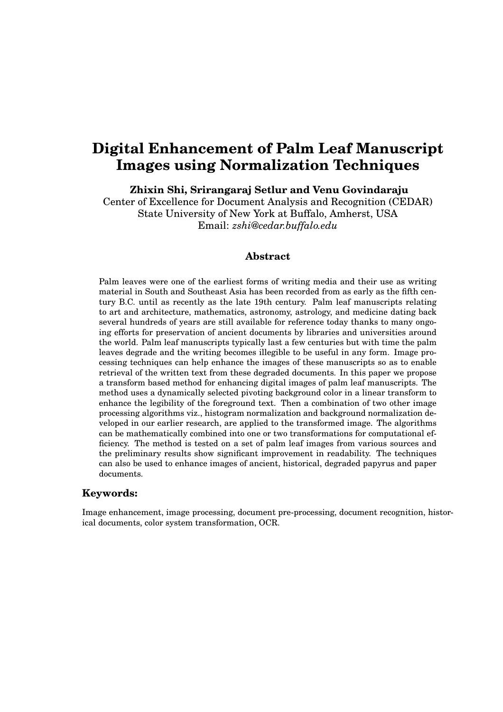# **Digital Enhancement of Palm Leaf Manuscript Images using Normalization Techniques**

**Zhixin Shi, Srirangaraj Setlur and Venu Govindaraju**

Center of Excellence for Document Analysis and Recognition (CEDAR) State University of New York at Buffalo, Amherst, USA Email: *zshi@cedar.buffalo.edu*

## **Abstract**

Palm leaves were one of the earliest forms of writing media and their use as writing material in South and Southeast Asia has been recorded from as early as the fifth century B.C. until as recently as the late 19th century. Palm leaf manuscripts relating to art and architecture, mathematics, astronomy, astrology, and medicine dating back several hundreds of years are still available for reference today thanks to many ongoing efforts for preservation of ancient documents by libraries and universities around the world. Palm leaf manuscripts typically last a few centuries but with time the palm leaves degrade and the writing becomes illegible to be useful in any form. Image processing techniques can help enhance the images of these manuscripts so as to enable retrieval of the written text from these degraded documents. In this paper we propose a transform based method for enhancing digital images of palm leaf manuscripts. The method uses a dynamically selected pivoting background color in a linear transform to enhance the legibility of the foreground text. Then a combination of two other image processing algorithms viz., histogram normalization and background normalization developed in our earlier research, are applied to the transformed image. The algorithms can be mathematically combined into one or two transformations for computational efficiency. The method is tested on a set of palm leaf images from various sources and the preliminary results show significant improvement in readability. The techniques can also be used to enhance images of ancient, historical, degraded papyrus and paper documents.

## **Keywords:**

Image enhancement, image processing, document pre-processing, document recognition, historical documents, color system transformation, OCR.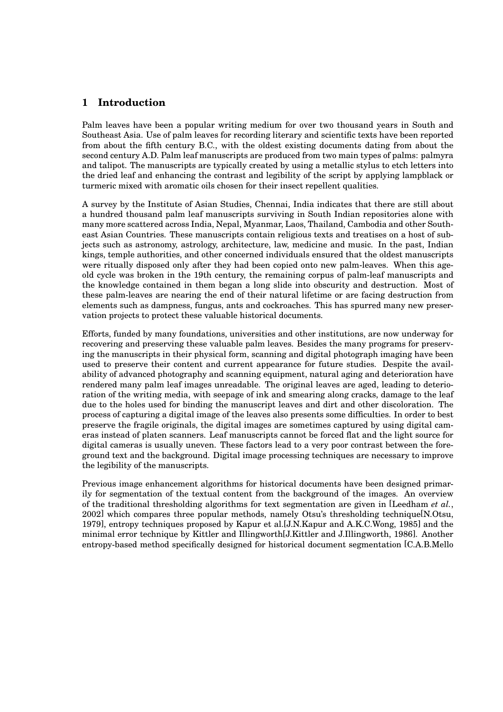# **1 Introduction**

Palm leaves have been a popular writing medium for over two thousand years in South and Southeast Asia. Use of palm leaves for recording literary and scientific texts have been reported from about the fifth century B.C., with the oldest existing documents dating from about the second century A.D. Palm leaf manuscripts are produced from two main types of palms: palmyra and talipot. The manuscripts are typically created by using a metallic stylus to etch letters into the dried leaf and enhancing the contrast and legibility of the script by applying lampblack or turmeric mixed with aromatic oils chosen for their insect repellent qualities.

A survey by the Institute of Asian Studies, Chennai, India indicates that there are still about a hundred thousand palm leaf manuscripts surviving in South Indian repositories alone with many more scattered across India, Nepal, Myanmar, Laos, Thailand, Cambodia and other Southeast Asian Countries. These manuscripts contain religious texts and treatises on a host of subjects such as astronomy, astrology, architecture, law, medicine and music. In the past, Indian kings, temple authorities, and other concerned individuals ensured that the oldest manuscripts were ritually disposed only after they had been copied onto new palm-leaves. When this ageold cycle was broken in the 19th century, the remaining corpus of palm-leaf manuscripts and the knowledge contained in them began a long slide into obscurity and destruction. Most of these palm-leaves are nearing the end of their natural lifetime or are facing destruction from elements such as dampness, fungus, ants and cockroaches. This has spurred many new preservation projects to protect these valuable historical documents.

Efforts, funded by many foundations, universities and other institutions, are now underway for recovering and preserving these valuable palm leaves. Besides the many programs for preserving the manuscripts in their physical form, scanning and digital photograph imaging have been used to preserve their content and current appearance for future studies. Despite the availability of advanced photography and scanning equipment, natural aging and deterioration have rendered many palm leaf images unreadable. The original leaves are aged, leading to deterioration of the writing media, with seepage of ink and smearing along cracks, damage to the leaf due to the holes used for binding the manuscript leaves and dirt and other discoloration. The process of capturing a digital image of the leaves also presents some difficulties. In order to best preserve the fragile originals, the digital images are sometimes captured by using digital cameras instead of platen scanners. Leaf manuscripts cannot be forced flat and the light source for digital cameras is usually uneven. These factors lead to a very poor contrast between the foreground text and the background. Digital image processing techniques are necessary to improve the legibility of the manuscripts.

Previous image enhancement algorithms for historical documents have been designed primarily for segmentation of the textual content from the background of the images. An overview of the traditional thresholding algorithms for text segmentation are given in [Leedham *et al.*, 2002] which compares three popular methods, namely Otsu's thresholding technique[N.Otsu, 1979], entropy techniques proposed by Kapur et al.[J.N.Kapur and A.K.C.Wong, 1985] and the minimal error technique by Kittler and Illingworth[J.Kittler and J.Illingworth, 1986]. Another entropy-based method specifically designed for historical document segmentation [C.A.B.Mello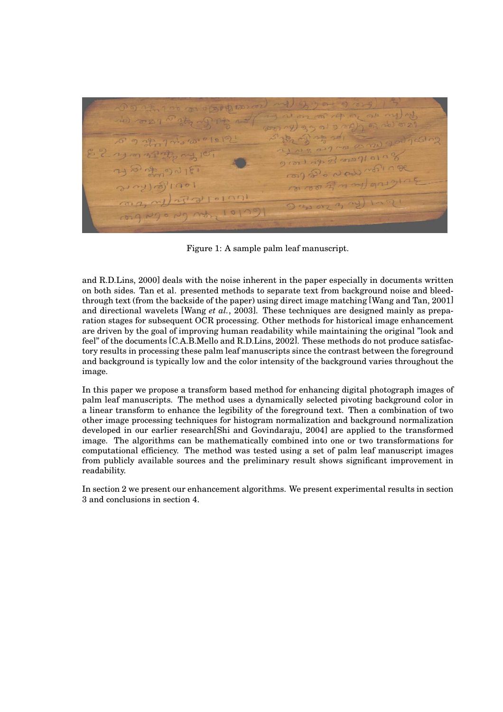Figure 1: A sample palm leaf manuscript.

and R.D.Lins, 2000] deals with the noise inherent in the paper especially in documents written on both sides. Tan et al. presented methods to separate text from background noise and bleedthrough text (from the backside of the paper) using direct image matching [Wang and Tan, 2001] and directional wavelets [Wang *et al.*, 2003]. These techniques are designed mainly as preparation stages for subsequent OCR processing. Other methods for historical image enhancement are driven by the goal of improving human readability while maintaining the original "look and feel" of the documents [C.A.B.Mello and R.D.Lins, 2002]. These methods do not produce satisfactory results in processing these palm leaf manuscripts since the contrast between the foreground and background is typically low and the color intensity of the background varies throughout the image.

In this paper we propose a transform based method for enhancing digital photograph images of palm leaf manuscripts. The method uses a dynamically selected pivoting background color in a linear transform to enhance the legibility of the foreground text. Then a combination of two other image processing techniques for histogram normalization and background normalization developed in our earlier research[Shi and Govindaraju, 2004] are applied to the transformed image. The algorithms can be mathematically combined into one or two transformations for computational efficiency. The method was tested using a set of palm leaf manuscript images from publicly available sources and the preliminary result shows significant improvement in readability.

In section 2 we present our enhancement algorithms. We present experimental results in section 3 and conclusions in section 4.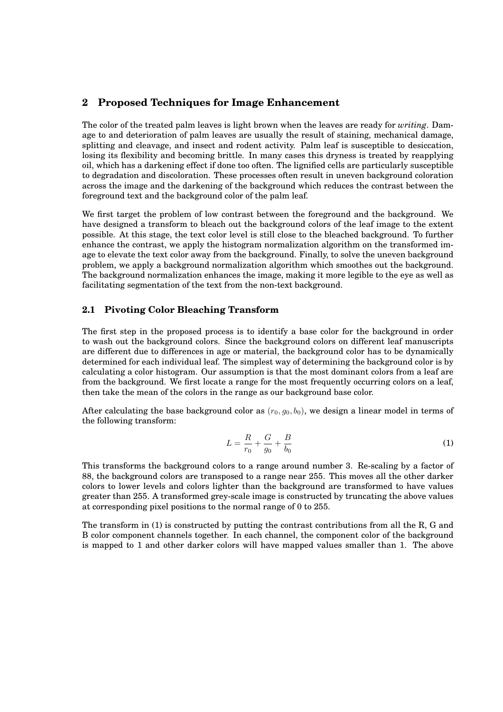## **2 Proposed Techniques for Image Enhancement**

The color of the treated palm leaves is light brown when the leaves are ready for *writing*. Damage to and deterioration of palm leaves are usually the result of staining, mechanical damage, splitting and cleavage, and insect and rodent activity. Palm leaf is susceptible to desiccation, losing its flexibility and becoming brittle. In many cases this dryness is treated by reapplying oil, which has a darkening effect if done too often. The lignified cells are particularly susceptible to degradation and discoloration. These processes often result in uneven background coloration across the image and the darkening of the background which reduces the contrast between the foreground text and the background color of the palm leaf.

We first target the problem of low contrast between the foreground and the background. We have designed a transform to bleach out the background colors of the leaf image to the extent possible. At this stage, the text color level is still close to the bleached background. To further enhance the contrast, we apply the histogram normalization algorithm on the transformed image to elevate the text color away from the background. Finally, to solve the uneven background problem, we apply a background normalization algorithm which smoothes out the background. The background normalization enhances the image, making it more legible to the eye as well as facilitating segmentation of the text from the non-text background.

#### **2.1 Pivoting Color Bleaching Transform**

The first step in the proposed process is to identify a base color for the background in order to wash out the background colors. Since the background colors on different leaf manuscripts are different due to differences in age or material, the background color has to be dynamically determined for each individual leaf. The simplest way of determining the background color is by calculating a color histogram. Our assumption is that the most dominant colors from a leaf are from the background. We first locate a range for the most frequently occurring colors on a leaf, then take the mean of the colors in the range as our background base color.

After calculating the base background color as  $(r_0, g_0, b_0)$ , we design a linear model in terms of the following transform:

$$
L = \frac{R}{r_0} + \frac{G}{g_0} + \frac{B}{b_0} \tag{1}
$$

This transforms the background colors to a range around number 3. Re-scaling by a factor of 88, the background colors are transposed to a range near 255. This moves all the other darker colors to lower levels and colors lighter than the background are transformed to have values greater than 255. A transformed grey-scale image is constructed by truncating the above values at corresponding pixel positions to the normal range of 0 to 255.

The transform in (1) is constructed by putting the contrast contributions from all the R, G and B color component channels together. In each channel, the component color of the background is mapped to 1 and other darker colors will have mapped values smaller than 1. The above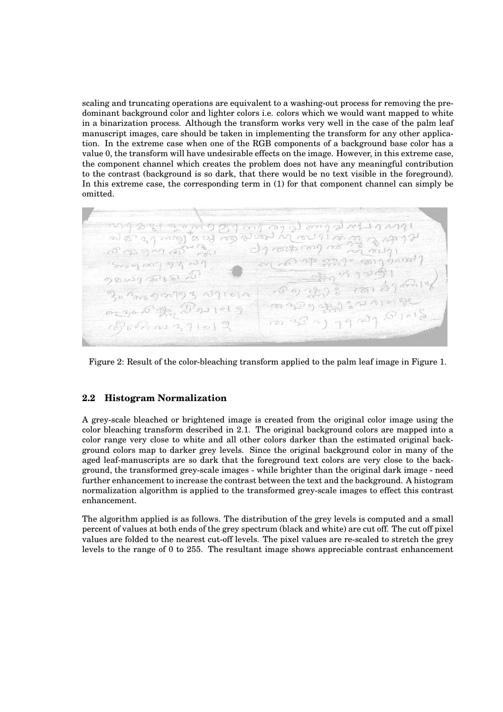scaling and truncating operations are equivalent to a washing-out process for removing the predominant background color and lighter colors i.e. colors which we would want mapped to white in a binarization process. Although the transform works very well in the case of the palm leaf manuscript images, care should be taken in implementing the transform for any other application. In the extreme case when one of the RGB components of a background base color has a value 0, the transform will have undesirable effects on the image. However, in this extreme case, the component channel which creates the problem does not have any meaningful contribution to the contrast (background is so dark, that there would be no text visible in the foreground). In this extreme case, the corresponding term in (1) for that component channel can simply be omitted.

Figure 2: Result of the color-bleaching transform applied to the palm leaf image in Figure 1.

#### **2.2 Histogram Normalization**

A grey-scale bleached or brightened image is created from the original color image using the color bleaching transform described in 2.1. The original background colors are mapped into a color range very close to white and all other colors darker than the estimated original background colors map to darker grey levels. Since the original background color in many of the aged leaf-manuscripts are so dark that the foreground text colors are very close to the background, the transformed grey-scale images - while brighter than the original dark image - need further enhancement to increase the contrast between the text and the background. A histogram normalization algorithm is applied to the transformed grey-scale images to effect this contrast enhancement.

The algorithm applied is as follows. The distribution of the grey levels is computed and a small percent of values at both ends of the grey spectrum (black and white) are cut off. The cut off pixel values are folded to the nearest cut-off levels. The pixel values are re-scaled to stretch the grey levels to the range of 0 to 255. The resultant image shows appreciable contrast enhancement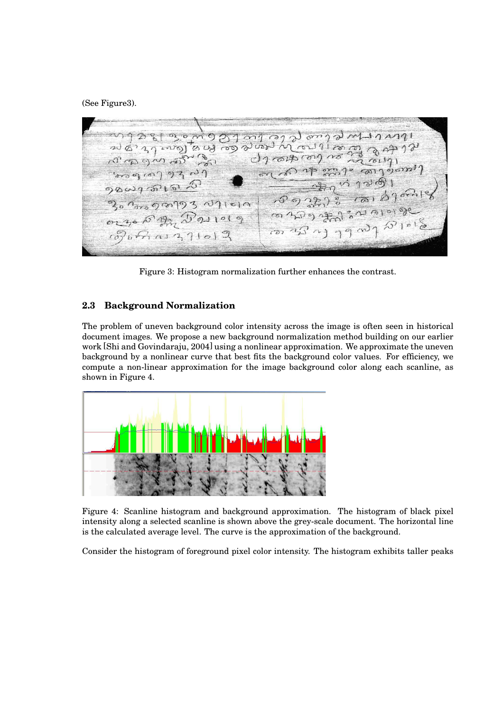(See Figure3).

Figure 3: Histogram normalization further enhances the contrast.

# **2.3 Background Normalization**

The problem of uneven background color intensity across the image is often seen in historical document images. We propose a new background normalization method building on our earlier work [Shi and Govindaraju, 2004] using a nonlinear approximation. We approximate the uneven background by a nonlinear curve that best fits the background color values. For efficiency, we compute a non-linear approximation for the image background color along each scanline, as shown in Figure 4.



Figure 4: Scanline histogram and background approximation. The histogram of black pixel intensity along a selected scanline is shown above the grey-scale document. The horizontal line is the calculated average level. The curve is the approximation of the background.

Consider the histogram of foreground pixel color intensity. The histogram exhibits taller peaks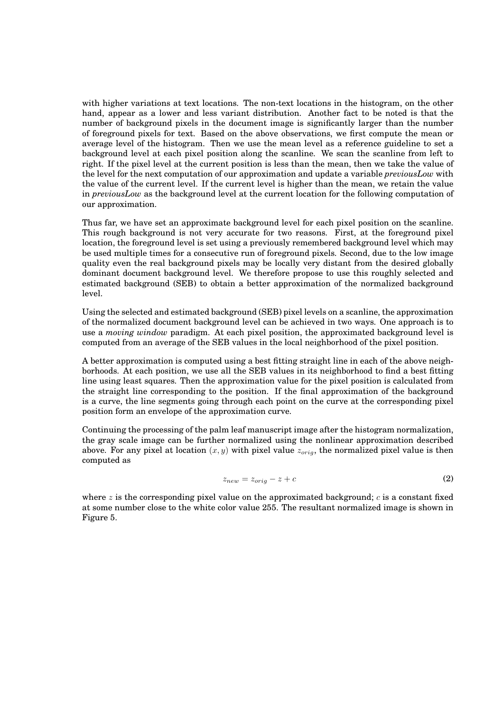with higher variations at text locations. The non-text locations in the histogram, on the other hand, appear as a lower and less variant distribution. Another fact to be noted is that the number of background pixels in the document image is significantly larger than the number of foreground pixels for text. Based on the above observations, we first compute the mean or average level of the histogram. Then we use the mean level as a reference guideline to set a background level at each pixel position along the scanline. We scan the scanline from left to right. If the pixel level at the current position is less than the mean, then we take the value of the level for the next computation of our approximation and update a variable *previousLow* with the value of the current level. If the current level is higher than the mean, we retain the value in *previousLow* as the background level at the current location for the following computation of our approximation.

Thus far, we have set an approximate background level for each pixel position on the scanline. This rough background is not very accurate for two reasons. First, at the foreground pixel location, the foreground level is set using a previously remembered background level which may be used multiple times for a consecutive run of foreground pixels. Second, due to the low image quality even the real background pixels may be locally very distant from the desired globally dominant document background level. We therefore propose to use this roughly selected and estimated background (SEB) to obtain a better approximation of the normalized background level.

Using the selected and estimated background (SEB) pixel levels on a scanline, the approximation of the normalized document background level can be achieved in two ways. One approach is to use a *moving window* paradigm. At each pixel position, the approximated background level is computed from an average of the SEB values in the local neighborhood of the pixel position.

A better approximation is computed using a best fitting straight line in each of the above neighborhoods. At each position, we use all the SEB values in its neighborhood to find a best fitting line using least squares. Then the approximation value for the pixel position is calculated from the straight line corresponding to the position. If the final approximation of the background is a curve, the line segments going through each point on the curve at the corresponding pixel position form an envelope of the approximation curve.

Continuing the processing of the palm leaf manuscript image after the histogram normalization, the gray scale image can be further normalized using the nonlinear approximation described above. For any pixel at location  $(x, y)$  with pixel value  $z_{orig}$ , the normalized pixel value is then computed as

$$
z_{new} = z_{orig} - z + c \tag{2}
$$

where z is the corresponding pixel value on the approximated background;  $c$  is a constant fixed at some number close to the white color value 255. The resultant normalized image is shown in Figure 5.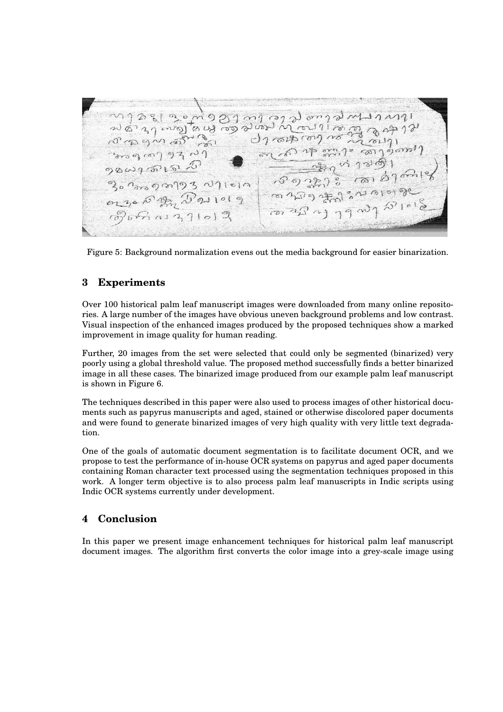Figure 5: Background normalization evens out the media background for easier binarization.

# **3 Experiments**

Over 100 historical palm leaf manuscript images were downloaded from many online repositories. A large number of the images have obvious uneven background problems and low contrast. Visual inspection of the enhanced images produced by the proposed techniques show a marked improvement in image quality for human reading.

Further, 20 images from the set were selected that could only be segmented (binarized) very poorly using a global threshold value. The proposed method successfully finds a better binarized image in all these cases. The binarized image produced from our example palm leaf manuscript is shown in Figure 6.

The techniques described in this paper were also used to process images of other historical documents such as papyrus manuscripts and aged, stained or otherwise discolored paper documents and were found to generate binarized images of very high quality with very little text degradation.

One of the goals of automatic document segmentation is to facilitate document OCR, and we propose to test the performance of in-house OCR systems on papyrus and aged paper documents containing Roman character text processed using the segmentation techniques proposed in this work. A longer term objective is to also process palm leaf manuscripts in Indic scripts using Indic OCR systems currently under development.

# **4 Conclusion**

In this paper we present image enhancement techniques for historical palm leaf manuscript document images. The algorithm first converts the color image into a grey-scale image using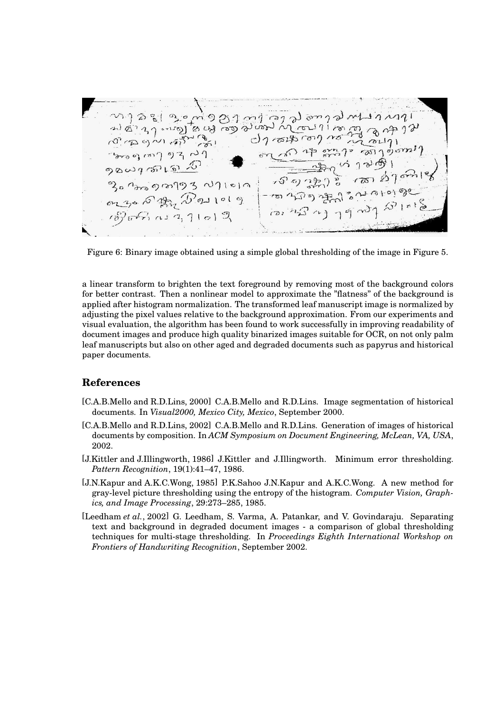Figure 6: Binary image obtained using a simple global thresholding of the image in Figure 5.

a linear transform to brighten the text foreground by removing most of the background colors for better contrast. Then a nonlinear model to approximate the "flatness" of the background is applied after histogram normalization. The transformed leaf manuscript image is normalized by adjusting the pixel values relative to the background approximation. From our experiments and visual evaluation, the algorithm has been found to work successfully in improving readability of document images and produce high quality binarized images suitable for OCR, on not only palm leaf manuscripts but also on other aged and degraded documents such as papyrus and historical paper documents.

# **References**

- [C.A.B.Mello and R.D.Lins, 2000] C.A.B.Mello and R.D.Lins. Image segmentation of historical documents. In *Visual2000, Mexico City, Mexico*, September 2000.
- [C.A.B.Mello and R.D.Lins, 2002] C.A.B.Mello and R.D.Lins. Generation of images of historical documents by composition. In *ACM Symposium on Document Engineering, McLean, VA, USA*, 2002.
- [J.Kittler and J.Illingworth, 1986] J.Kittler and J.Illingworth. Minimum error thresholding. *Pattern Recognition*, 19(1):41–47, 1986.
- [J.N.Kapur and A.K.C.Wong, 1985] P.K.Sahoo J.N.Kapur and A.K.C.Wong. A new method for gray-level picture thresholding using the entropy of the histogram. *Computer Vision, Graphics, and Image Processing*, 29:273–285, 1985.
- [Leedham *et al.*, 2002] G. Leedham, S. Varma, A. Patankar, and V. Govindaraju. Separating text and background in degraded document images - a comparison of global thresholding techniques for multi-stage thresholding. In *Proceedings Eighth International Workshop on Frontiers of Handwriting Recognition*, September 2002.